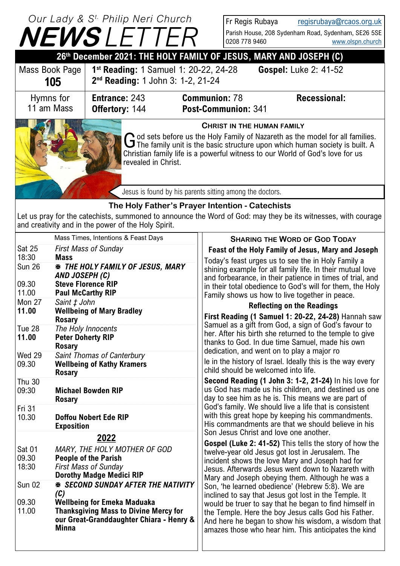#### **CHRIST IN THE HUMAN FAMILY** God sets before us the Holy Family of Nazareth as the model for all families.<br>The family unit is the basic structure upon which human society is built. A od sets before us the Holy Family of Nazareth as the model for all families. Christian family life is a powerful witness to our World of God's love for us revealed in Christ. **NEWS** *LE Our Lady & S t. Philip Neri Church* **26th December 2021: THE HOLY FAMILY OF JESUS, MARY AND JOSEPH (C)** Fr Regis Rubaya [regisrubaya@rcaos.org.uk](mailto:regisrubaya@rcaos.org.uk) Parish House, 208 Sydenham Road, Sydenham, SE26 5SE 0208 778 9460 [www.olspn.church](http://www.olspn.church) **SHARING THE WORD OF GOD TODAY Feast of the Holy Family of Jesus, Mary and Joseph** Today's feast urges us to see the in Holy Family a shining example for all family life. In their mutual love and forbearance, in their patience in times of trial, and in their total obedience to God's will for them, the Holy Family shows us how to live together in peace. **Reflecting on the Readings First Reading (1 Samuel 1: 20-22, 24-28)** Hannah saw Samuel as a gift from God, a sign of God's favour to her. After his birth she returned to the temple to give thanks to God. In due time Samuel, made his own dedication, and went on to play a major ro le in the history of Israel. Ideally this is the way every child should be welcomed into life. **Second Reading (1 John 3: 1-2, 21-24)** In his love for us God has made us his children, and destined us one day to see him as he is. This means we are part of God's family. We should live a life that is consistent with this great hope by keeping his commandments. His commandments are that we should believe in his Son Jesus Christ and love one another. **Gospel (Luke 2: 41-52)** This tells the story of how the twelve-year old Jesus got lost in Jerusalem. The incident shows the love Mary and Joseph had for Jesus. Afterwards Jesus went down to Nazareth with Mary and Joseph obeying them. Although he was a Son, 'he learned obedience' (Hebrew 5:8). We are inclined to say that Jesus got lost in the Temple. It would be truer to say that he began to find himself in the Temple. Here the boy Jesus calls God his Father. And here he began to show his wisdom, a wisdom that amazes those who hear him. This anticipates the kind Mass Times, Intentions & Feast Days Sat 25 *First Mass of Sunday* 18:30 **Mass** Sun 26 *THE HOLY FAMILY OF JESUS, MARY AND JOSEPH (C)* 09.30 **Steve Florence RIP** 11.00 11.00 Paul McCarthy RIP<br>Mon 27 Saint t John Saint  *John* **11.00 Wellbeing of Mary Bradley Rosary** Tue 28 *The Holy Innocents* **Peter Doherty RIP Rosary** Wed 29 Saint Thomas of Canterbury 09.30 **Wellbeing of Kathy Kramers Rosary** \_\_\_\_\_\_\_\_\_\_\_\_\_\_\_\_\_\_\_\_\_\_\_\_\_\_\_\_\_\_\_\_\_\_\_\_\_\_\_\_\_\_\_\_\_\_\_\_\_\_\_\_\_\_\_\_\_\_\_\_\_\_\_\_\_\_\_\_\_\_\_\_\_\_\_\_\_\_\_\_\_\_\_\_\_\_\_\_\_\_\_\_\_\_\_\_\_\_\_\_\_\_\_\_\_\_\_\_\_\_\_\_\_\_\_\_\_\_\_\_\_\_\_\_\_\_\_\_\_\_\_\_\_\_\_\_\_\_\_\_\_\_\_\_\_\_\_\_\_\_\_\_\_\_\_\_\_\_\_\_\_\_\_\_\_\_\_\_\_\_\_\_\_\_\_\_\_\_\_\_\_\_\_\_\_\_\_\_\_\_\_\_\_\_\_\_\_\_\_\_\_\_\_\_\_\_\_\_\_\_\_\_\_\_\_\_\_\_\_\_\_\_\_\_\_\_\_\_\_\_\_\_\_\_\_\_\_\_\_\_\_\_\_\_\_\_\_\_\_\_\_\_\_ \_\_\_\_\_\_\_\_\_\_\_\_\_\_\_\_\_\_\_\_\_\_\_\_\_\_\_\_\_\_\_\_\_\_\_\_\_\_\_\_\_\_\_\_\_\_\_\_\_\_\_\_\_\_\_\_\_\_\_\_\_\_\_\_\_\_\_\_\_\_\_\_\_\_\_\_\_\_\_\_\_\_\_\_\_\_\_\_\_\_\_\_\_\_\_\_\_\_\_\_\_\_\_\_\_\_\_\_\_\_\_\_\_\_\_\_\_\_\_\_\_\_\_\_\_\_\_\_\_\_\_\_\_\_\_\_\_\_\_\_\_\_\_\_\_\_\_\_\_\_\_\_\_\_\_\_\_\_\_\_\_\_\_\_\_\_\_\_\_\_\_\_\_\_\_\_\_\_\_\_\_\_\_\_\_\_\_\_\_\_\_\_\_\_\_\_\_\_\_\_\_\_\_\_\_\_\_\_\_\_\_\_\_\_\_\_\_\_\_\_\_\_\_\_\_\_\_\_\_\_\_\_\_\_\_\_\_\_\_\_\_\_\_\_\_\_\_\_\_\_\_\_\_\_\_\_\_\_\_\_\_\_\_\_\_\_\_\_\_\_\_\_\_\_\_\_\_\_ Thu 30 09:30 **Michael Bowden RIP Rosary** Fri 31 and the state of the state of the state of the state of the state of the state of the state of the state of the state of the state of the state of the state of the state of the state of the state of the state of the 10.30 **Doffou Nobert Ede RIP Exposition**  \_\_\_\_\_\_\_\_\_\_\_\_\_\_\_\_\_\_\_\_\_\_\_\_\_\_\_\_\_\_\_\_\_\_\_\_\_\_\_\_\_\_\_\_\_\_\_\_\_\_\_\_\_\_\_\_\_\_\_\_\_\_\_\_\_\_\_\_\_\_\_\_\_\_\_\_\_\_\_\_\_\_\_\_\_\_\_\_\_\_\_\_\_\_\_\_\_\_\_\_\_\_\_\_\_\_\_\_\_\_\_\_\_\_\_\_\_\_\_\_\_\_\_\_\_\_\_\_\_\_\_\_\_\_\_\_\_\_\_\_\_\_\_\_\_\_\_\_\_\_\_\_\_\_\_\_\_\_\_\_\_\_\_\_\_\_\_\_\_\_\_\_\_\_\_\_\_\_\_\_\_\_\_\_\_\_\_\_\_\_\_\_\_\_\_\_\_\_\_\_\_\_\_\_\_\_\_\_\_\_\_\_\_\_\_\_\_\_\_\_\_\_\_\_\_\_\_\_\_\_\_\_\_\_\_\_\_\_\_\_\_\_\_\_\_\_\_\_\_\_\_\_\_ \_\_\_\_\_\_\_\_\_\_\_\_\_\_\_\_\_\_\_\_\_\_\_\_\_\_\_\_\_\_\_\_\_\_\_\_\_\_\_\_\_\_\_\_\_\_\_\_\_\_\_\_\_\_\_\_\_\_\_\_\_\_\_\_\_\_\_\_\_\_\_\_\_\_\_\_\_\_\_\_\_\_\_\_\_\_\_\_\_\_\_\_\_\_\_\_\_\_\_\_\_\_\_\_\_\_\_\_\_\_\_\_\_\_\_\_\_\_\_\_\_\_\_\_\_\_\_\_\_\_\_\_\_\_\_\_\_\_\_\_\_\_\_\_\_\_\_\_\_\_\_\_\_\_\_\_\_\_\_\_\_\_\_\_\_\_\_\_\_\_\_\_\_\_\_\_\_\_\_\_\_\_\_\_\_\_\_\_\_\_\_\_\_\_\_\_\_\_\_\_\_\_\_\_\_\_\_\_\_\_\_\_\_\_\_\_\_\_\_\_\_\_\_\_\_\_\_\_\_\_\_\_\_\_\_\_\_\_\_\_\_\_\_\_\_\_\_\_\_\_\_\_\_\_\_\_\_\_\_\_\_\_\_\_\_\_\_\_\_\_\_\_\_\_\_\_\_\_ **2022** Sat 01 *MARY, THE HOLY MOTHER OF GOD* 09.30 **People of the Parish First Mass of Sunday** Dorothy Madge Medici RIP Sun 02 *SECOND SUNDAY AFTER THE NATIVITY (C)* 09.30 **Wellbeing for Emeka Maduaka**  11.00 **Thanksgiving Mass to Divine Mercy for our Great-Granddaughter Chiara - Henry & Minna The Holy Father's Prayer Intention - Catechists** Let us pray for the catechists, summoned to announce the Word of God: may they be its witnesses, with courage and creativity and in the power of the Holy Spirit. Jesus is found by his parents sitting among the doctors. Mass Book Page **105 1 st Reading:** 1 Samuel 1: 20-22, 24-28 **Gospel:** Luke 2: 41-52 **2 nd Reading:** 1 John 3: 1-2, 21-24 **Entrance:** 243 **Communion:** 78 **Recessional: Offertory:** 144 **Post-Communion:** 341 Hymns for 11 am Mass